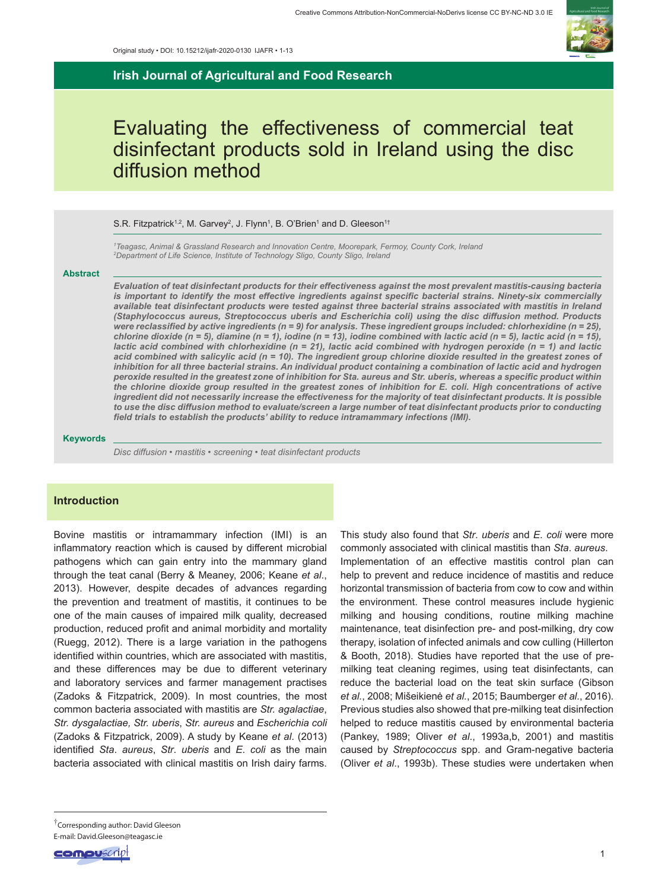

**Irish Journal of Agricultural and Food Research**

# Evaluating the effectiveness of commercial teat disinfectant products sold in Ireland using the disc diffusion method

#### S.R. Fitzpatrick<sup>1,2</sup>, M. Garvey<sup>2</sup>, J. Flynn<sup>1</sup>, B. O'Brien<sup>1</sup> and D. Gleeson<sup>1†</sup>

*1 Teagasc, Animal & Grassland Research and Innovation Centre, Moorepark, Fermoy, County Cork, Ireland 2 Department of Life Science, Institute of Technology Sligo, County Sligo, Ireland*

#### **Abstract**

*Evaluation of teat disinfectant products for their effectiveness against the most prevalent mastitis-causing bacteria*  is important to identify the most effective ingredients against specific bacterial strains. Ninety-six commercially *available teat disinfectant products were tested against three bacterial strains associated with mastitis in Ireland (Staphylococcus aureus, Streptococcus uberis and Escherichia coli) using the disc diffusion method. Products were reclassified by active ingredients (n = 9) for analysis. These ingredient groups included: chlorhexidine (n = 25), chlorine dioxide (n = 5), diamine (n = 1), iodine (n = 13), iodine combined with lactic acid (n = 5), lactic acid (n = 15), lactic acid combined with chlorhexidine (n = 21), lactic acid combined with hydrogen peroxide (n = 1) and lactic acid combined with salicylic acid (n = 10). The ingredient group chlorine dioxide resulted in the greatest zones of inhibition for all three bacterial strains. An individual product containing a combination of lactic acid and hydrogen peroxide resulted in the greatest zone of inhibition for Sta. aureus and Str. uberis, whereas a specific product within the chlorine dioxide group resulted in the greatest zones of inhibition for E. coli. High concentrations of active ingredient did not necessarily increase the effectiveness for the majority of teat disinfectant products. It is possible to use the disc diffusion method to evaluate/screen a large number of teat disinfectant products prior to conducting field trials to establish the products' ability to reduce intramammary infections (IMI).*

#### **Keywords**

*Disc diffusion • mastitis • screening • teat disinfectant products*

## **Introduction**

Bovine mastitis or intramammary infection (IMI) is an inflammatory reaction which is caused by different microbial pathogens which can gain entry into the mammary gland through the teat canal (Berry & Meaney, 2006; Keane *et al*., 2013). However, despite decades of advances regarding the prevention and treatment of mastitis, it continues to be one of the main causes of impaired milk quality, decreased production, reduced profit and animal morbidity and mortality (Ruegg, 2012). There is a large variation in the pathogens identified within countries, which are associated with mastitis, and these differences may be due to different veterinary and laboratory services and farmer management practises (Zadoks & Fitzpatrick, 2009). In most countries, the most common bacteria associated with mastitis are *Str. agalactiae*, *Str. dysgalactiae, Str. uberis*, *Str. aureus* and *Escherichia coli* (Zadoks & Fitzpatrick, 2009). A study by Keane *et al*. (2013) identified *Sta*. *aureus*, *Str*. *uberis* and *E*. *coli* as the main bacteria associated with clinical mastitis on Irish dairy farms.

This study also found that *Str*. *uberis* and *E*. *coli* were more commonly associated with clinical mastitis than *Sta*. *aureus*. Implementation of an effective mastitis control plan can help to prevent and reduce incidence of mastitis and reduce horizontal transmission of bacteria from cow to cow and within the environment. These control measures include hygienic milking and housing conditions, routine milking machine maintenance, teat disinfection pre- and post-milking, dry cow therapy, isolation of infected animals and cow culling (Hillerton & Booth, 2018). Studies have reported that the use of premilking teat cleaning regimes, using teat disinfectants, can reduce the bacterial load on the teat skin surface (Gibson *et al.*, 2008; Mišeikienė *et al.*, 2015; Baumberger *et al.*, 2016). Previous studies also showed that pre-milking teat disinfection helped to reduce mastitis caused by environmental bacteria (Pankey, 1989; Oliver *et al*., 1993a,b, 2001) and mastitis caused by *Streptococcus* spp. and Gram-negative bacteria (Oliver *et al*., 1993b). These studies were undertaken when

<sup>†</sup>Corresponding author: David Gleeson E-mail: David.Gleeson@teagasc.ie

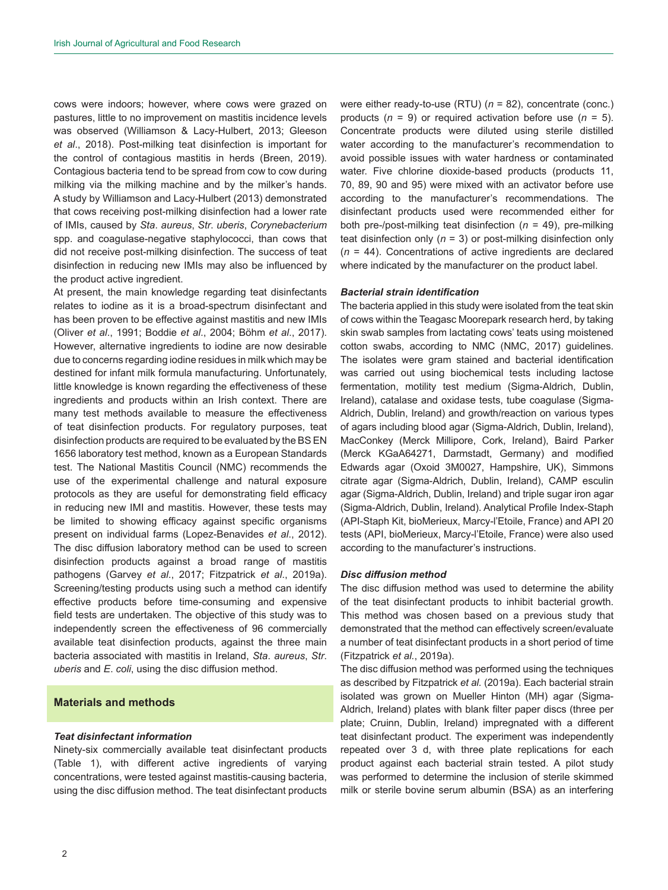cows were indoors; however, where cows were grazed on pastures, little to no improvement on mastitis incidence levels was observed (Williamson & Lacy-Hulbert, 2013; Gleeson *et al*., 2018). Post-milking teat disinfection is important for the control of contagious mastitis in herds (Breen, 2019). Contagious bacteria tend to be spread from cow to cow during milking via the milking machine and by the milker's hands. A study by Williamson and Lacy-Hulbert (2013) demonstrated that cows receiving post-milking disinfection had a lower rate of IMIs, caused by *Sta*. *aureus*, *Str*. *uberis*, *Corynebacterium* spp. and coagulase-negative staphylococci, than cows that did not receive post-milking disinfection. The success of teat disinfection in reducing new IMIs may also be influenced by the product active ingredient.

At present, the main knowledge regarding teat disinfectants relates to iodine as it is a broad-spectrum disinfectant and has been proven to be effective against mastitis and new IMIs (Oliver *et al*., 1991; Boddie *et al*., 2004; Böhm *et al*., 2017). However, alternative ingredients to iodine are now desirable due to concerns regarding iodine residues in milk which may be destined for infant milk formula manufacturing. Unfortunately, little knowledge is known regarding the effectiveness of these ingredients and products within an Irish context. There are many test methods available to measure the effectiveness of teat disinfection products. For regulatory purposes, teat disinfection products are required to be evaluated by the BS EN 1656 laboratory test method, known as a European Standards test. The National Mastitis Council (NMC) recommends the use of the experimental challenge and natural exposure protocols as they are useful for demonstrating field efficacy in reducing new IMI and mastitis. However, these tests may be limited to showing efficacy against specific organisms present on individual farms (Lopez-Benavides *et al*., 2012). The disc diffusion laboratory method can be used to screen disinfection products against a broad range of mastitis pathogens (Garvey *et al*., 2017; Fitzpatrick *et al*., 2019a). Screening/testing products using such a method can identify effective products before time-consuming and expensive field tests are undertaken. The objective of this study was to independently screen the effectiveness of 96 commercially available teat disinfection products, against the three main bacteria associated with mastitis in Ireland, *Sta*. *aureus*, *Str*. *uberis* and *E*. *coli*, using the disc diffusion method.

## **Materials and methods**

#### *Teat disinfectant information*

Ninety-six commercially available teat disinfectant products (Table 1), with different active ingredients of varying concentrations, were tested against mastitis-causing bacteria, using the disc diffusion method. The teat disinfectant products were either ready-to-use (RTU) (*n* = 82), concentrate (conc.) products (*n* = 9) or required activation before use (*n* = 5). Concentrate products were diluted using sterile distilled water according to the manufacturer's recommendation to avoid possible issues with water hardness or contaminated water. Five chlorine dioxide-based products (products 11, 70, 89, 90 and 95) were mixed with an activator before use according to the manufacturer's recommendations. The disinfectant products used were recommended either for both pre-/post-milking teat disinfection (*n* = 49), pre-milking teat disinfection only (*n* = 3) or post-milking disinfection only (*n* = 44). Concentrations of active ingredients are declared where indicated by the manufacturer on the product label.

#### *Bacterial strain identification*

The bacteria applied in this study were isolated from the teat skin of cows within the Teagasc Moorepark research herd, by taking skin swab samples from lactating cows' teats using moistened cotton swabs, according to NMC (NMC, 2017) guidelines. The isolates were gram stained and bacterial identification was carried out using biochemical tests including lactose fermentation, motility test medium (Sigma-Aldrich, Dublin, Ireland), catalase and oxidase tests, tube coagulase (Sigma-Aldrich, Dublin, Ireland) and growth/reaction on various types of agars including blood agar (Sigma-Aldrich, Dublin, Ireland), MacConkey (Merck Millipore, Cork, Ireland), Baird Parker (Merck KGaA64271, Darmstadt, Germany) and modified Edwards agar (Oxoid 3M0027, Hampshire, UK), Simmons citrate agar (Sigma-Aldrich, Dublin, Ireland), CAMP esculin agar (Sigma-Aldrich, Dublin, Ireland) and triple sugar iron agar (Sigma-Aldrich, Dublin, Ireland). Analytical Profile Index-Staph (API-Staph Kit, bioMerieux, Marcy-l'Etoile, France) and API 20 tests (API, bioMerieux, Marcy-l'Etoile, France) were also used according to the manufacturer's instructions.

#### *Disc diffusion method*

The disc diffusion method was used to determine the ability of the teat disinfectant products to inhibit bacterial growth. This method was chosen based on a previous study that demonstrated that the method can effectively screen/evaluate a number of teat disinfectant products in a short period of time (Fitzpatrick *et al.*, 2019a).

The disc diffusion method was performed using the techniques as described by Fitzpatrick *et al.* (2019a). Each bacterial strain isolated was grown on Mueller Hinton (MH) agar (Sigma-Aldrich, Ireland) plates with blank filter paper discs (three per plate; Cruinn, Dublin, Ireland) impregnated with a different teat disinfectant product. The experiment was independently repeated over 3 d, with three plate replications for each product against each bacterial strain tested. A pilot study was performed to determine the inclusion of sterile skimmed milk or sterile bovine serum albumin (BSA) as an interfering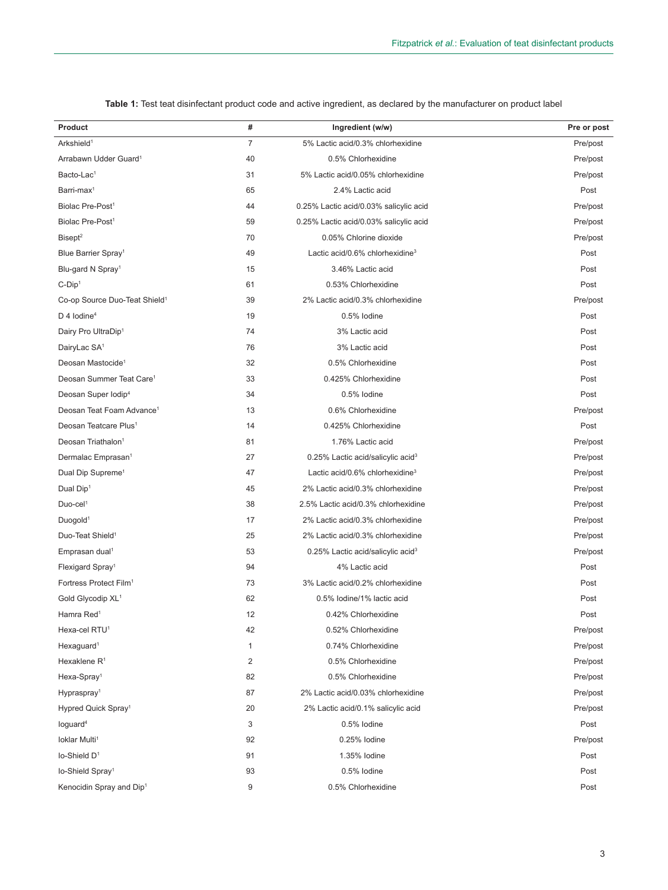| Product                                   | #              | Ingredient (w/w)                              | Pre or post |
|-------------------------------------------|----------------|-----------------------------------------------|-------------|
| Arkshield <sup>1</sup>                    | $\overline{7}$ | 5% Lactic acid/0.3% chlorhexidine             | Pre/post    |
| Arrabawn Udder Guard <sup>1</sup>         | 40             | 0.5% Chlorhexidine                            | Pre/post    |
| Bacto-Lac <sup>1</sup>                    | 31             | 5% Lactic acid/0.05% chlorhexidine            | Pre/post    |
| Barri-max $1$                             | 65             | 2.4% Lactic acid                              | Post        |
| Biolac Pre-Post <sup>1</sup>              | 44             | 0.25% Lactic acid/0.03% salicylic acid        | Pre/post    |
| Biolac Pre-Post <sup>1</sup>              | 59             | 0.25% Lactic acid/0.03% salicylic acid        | Pre/post    |
| Bisept <sup>2</sup>                       | 70             | 0.05% Chlorine dioxide                        | Pre/post    |
| Blue Barrier Spray <sup>1</sup>           | 49             | Lactic acid/0.6% chlorhexidine <sup>3</sup>   | Post        |
| Blu-gard N Spray <sup>1</sup>             | 15             | 3.46% Lactic acid                             | Post        |
| $C-Dip1$                                  | 61             | 0.53% Chlorhexidine                           | Post        |
| Co-op Source Duo-Teat Shield <sup>1</sup> | 39             | 2% Lactic acid/0.3% chlorhexidine             | Pre/post    |
| $D$ 4 lodine <sup>4</sup>                 | 19             | 0.5% lodine                                   | Post        |
| Dairy Pro UltraDip <sup>1</sup>           | 74             | 3% Lactic acid                                | Post        |
| DairyLac SA <sup>1</sup>                  | 76             | 3% Lactic acid                                | Post        |
| Deosan Mastocide <sup>1</sup>             | 32             | 0.5% Chlorhexidine                            | Post        |
| Deosan Summer Teat Care <sup>1</sup>      | 33             | 0.425% Chlorhexidine                          | Post        |
| Deosan Super Iodip <sup>4</sup>           | 34             | 0.5% lodine                                   | Post        |
| Deosan Teat Foam Advance <sup>1</sup>     | 13             | 0.6% Chlorhexidine                            | Pre/post    |
| Deosan Teatcare Plus <sup>1</sup>         | 14             | 0.425% Chlorhexidine                          | Post        |
| Deosan Triathalon <sup>1</sup>            | 81             | 1.76% Lactic acid                             | Pre/post    |
| Dermalac Emprasan <sup>1</sup>            | 27             | 0.25% Lactic acid/salicylic acid <sup>3</sup> | Pre/post    |
| Dual Dip Supreme <sup>1</sup>             | 47             | Lactic acid/0.6% chlorhexidine <sup>3</sup>   | Pre/post    |
| Dual Dip <sup>1</sup>                     | 45             | 2% Lactic acid/0.3% chlorhexidine             | Pre/post    |
| $Duo$ -cel <sup>1</sup>                   | 38             | 2.5% Lactic acid/0.3% chlorhexidine           | Pre/post    |
| Duogold <sup>1</sup>                      | 17             | 2% Lactic acid/0.3% chlorhexidine             | Pre/post    |
| Duo-Teat Shield <sup>1</sup>              | 25             | 2% Lactic acid/0.3% chlorhexidine             | Pre/post    |
| Emprasan dual <sup>1</sup>                | 53             | 0.25% Lactic acid/salicylic acid <sup>3</sup> | Pre/post    |
| Flexigard Spray <sup>1</sup>              | 94             | 4% Lactic acid                                | Post        |
| Fortress Protect Film <sup>1</sup>        | 73             | 3% Lactic acid/0.2% chlorhexidine             | Post        |
| Gold Glycodip XL <sup>1</sup>             | 62             | 0.5% lodine/1% lactic acid                    | Post        |
| Hamra Red <sup>1</sup>                    | 12             | 0.42% Chlorhexidine                           | Post        |
| Hexa-cel RTU <sup>1</sup>                 | 42             | 0.52% Chlorhexidine                           | Pre/post    |
| Hexaguard <sup>1</sup>                    | 1              | 0.74% Chlorhexidine                           | Pre/post    |
| Hexaklene R <sup>1</sup>                  | 2              | 0.5% Chlorhexidine                            | Pre/post    |
| Hexa-Spray <sup>1</sup>                   | 82             | 0.5% Chlorhexidine                            | Pre/post    |
| Hypraspray <sup>1</sup>                   | 87             | 2% Lactic acid/0.03% chlorhexidine            | Pre/post    |
| Hypred Quick Spray <sup>1</sup>           | 20             | 2% Lactic acid/0.1% salicylic acid            | Pre/post    |
| loguard <sup>4</sup>                      | 3              | 0.5% lodine                                   | Post        |
| loklar Multi <sup>1</sup>                 | 92             | 0.25% lodine                                  | Pre/post    |
| lo-Shield D <sup>1</sup>                  | 91             | 1.35% lodine                                  | Post        |
| lo-Shield Spray <sup>1</sup>              | 93             | 0.5% lodine                                   | Post        |
| Kenocidin Spray and Dip <sup>1</sup>      | 9              | 0.5% Chlorhexidine                            | Post        |

**Table 1:** Test teat disinfectant product code and active ingredient, as declared by the manufacturer on product label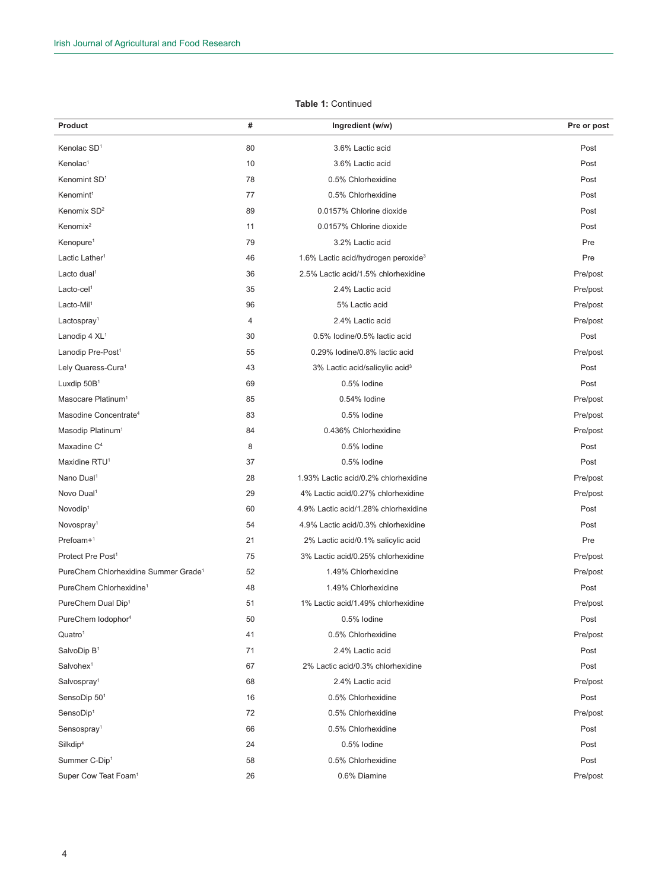## **Table 1:** Continued

| Product                                          | #        | Ingredient (w/w)                                 | Pre or post          |
|--------------------------------------------------|----------|--------------------------------------------------|----------------------|
| Kenolac SD <sup>1</sup>                          | 80       | 3.6% Lactic acid                                 | Post                 |
| Kenolac <sup>1</sup>                             | 10       | 3.6% Lactic acid                                 | Post                 |
| Kenomint SD <sup>1</sup>                         | 78       | 0.5% Chlorhexidine                               | Post                 |
| Kenomint <sup>1</sup>                            | 77       | 0.5% Chlorhexidine                               | Post                 |
| Kenomix SD <sup>2</sup>                          | 89       | 0.0157% Chlorine dioxide                         | Post                 |
| Kenomix <sup>2</sup>                             | 11       | 0.0157% Chlorine dioxide                         | Post                 |
| Kenopure <sup>1</sup>                            | 79       | 3.2% Lactic acid                                 | Pre                  |
| Lactic Lather <sup>1</sup>                       | 46       | 1.6% Lactic acid/hydrogen peroxide <sup>3</sup>  | Pre                  |
| Lacto dual <sup>1</sup>                          | 36       | 2.5% Lactic acid/1.5% chlorhexidine              | Pre/post             |
| Lacto-cel <sup>1</sup>                           | 35       | 2.4% Lactic acid                                 |                      |
| Lacto-Mil <sup>1</sup>                           | 96       | 5% Lactic acid                                   | Pre/post<br>Pre/post |
|                                                  |          |                                                  |                      |
| Lactospray <sup>1</sup>                          | 4        | 2.4% Lactic acid<br>0.5% lodine/0.5% lactic acid | Pre/post             |
| Lanodip 4 XL <sup>1</sup>                        | 30<br>55 |                                                  | Post                 |
| Lanodip Pre-Post <sup>1</sup>                    |          | 0.29% lodine/0.8% lactic acid                    | Pre/post             |
| Lely Quaress-Cura <sup>1</sup>                   | 43       | 3% Lactic acid/salicylic acid <sup>3</sup>       | Post                 |
| Luxdip 50B <sup>1</sup>                          | 69       | 0.5% lodine                                      | Post                 |
| Masocare Platinum <sup>1</sup>                   | 85       | 0.54% lodine                                     | Pre/post             |
| Masodine Concentrate <sup>4</sup>                | 83       | 0.5% lodine                                      | Pre/post             |
| Masodip Platinum <sup>1</sup>                    | 84       | 0.436% Chlorhexidine                             | Pre/post             |
| Maxadine C <sup>4</sup>                          | 8        | 0.5% lodine                                      | Post                 |
| Maxidine RTU <sup>1</sup>                        | 37       | 0.5% lodine                                      | Post                 |
| Nano Dual <sup>1</sup>                           | 28       | 1.93% Lactic acid/0.2% chlorhexidine             | Pre/post             |
| Novo Dual <sup>1</sup>                           | 29       | 4% Lactic acid/0.27% chlorhexidine               | Pre/post             |
| Novodip <sup>1</sup>                             | 60       | 4.9% Lactic acid/1.28% chlorhexidine             | Post                 |
| Novospray <sup>1</sup>                           | 54       | 4.9% Lactic acid/0.3% chlorhexidine              | Post                 |
| $Prefoam+1$                                      | 21       | 2% Lactic acid/0.1% salicylic acid               | Pre                  |
| Protect Pre Post <sup>1</sup>                    | 75       | 3% Lactic acid/0.25% chlorhexidine               | Pre/post             |
| PureChem Chlorhexidine Summer Grade <sup>1</sup> | 52       | 1.49% Chlorhexidine                              | Pre/post             |
| PureChem Chlorhexidine <sup>1</sup>              | 48       | 1.49% Chlorhexidine                              | Post                 |
| PureChem Dual Dip <sup>1</sup>                   | 51       | 1% Lactic acid/1.49% chlorhexidine               | Pre/post             |
| PureChem lodophor <sup>4</sup>                   | 50       | 0.5% lodine                                      | Post                 |
| Quatro <sup>1</sup>                              | 41       | 0.5% Chlorhexidine                               | Pre/post             |
| SalvoDip B <sup>1</sup>                          | 71       | 2.4% Lactic acid                                 | Post                 |
| Salvohex <sup>1</sup>                            | 67       | 2% Lactic acid/0.3% chlorhexidine                | Post                 |
| Salvospray <sup>1</sup>                          | 68       | 2.4% Lactic acid                                 | Pre/post             |
| SensoDip 501                                     | 16       | 0.5% Chlorhexidine                               | Post                 |
| SensoDip <sup>1</sup>                            | 72       | 0.5% Chlorhexidine                               | Pre/post             |
| Sensospray <sup>1</sup>                          | 66       | 0.5% Chlorhexidine                               | Post                 |
| Silk dip <sup>4</sup>                            | 24       | 0.5% lodine                                      | Post                 |
| Summer C-Dip1                                    | 58       | 0.5% Chlorhexidine                               | Post                 |
| Super Cow Teat Foam <sup>1</sup>                 | 26       | 0.6% Diamine                                     | Pre/post             |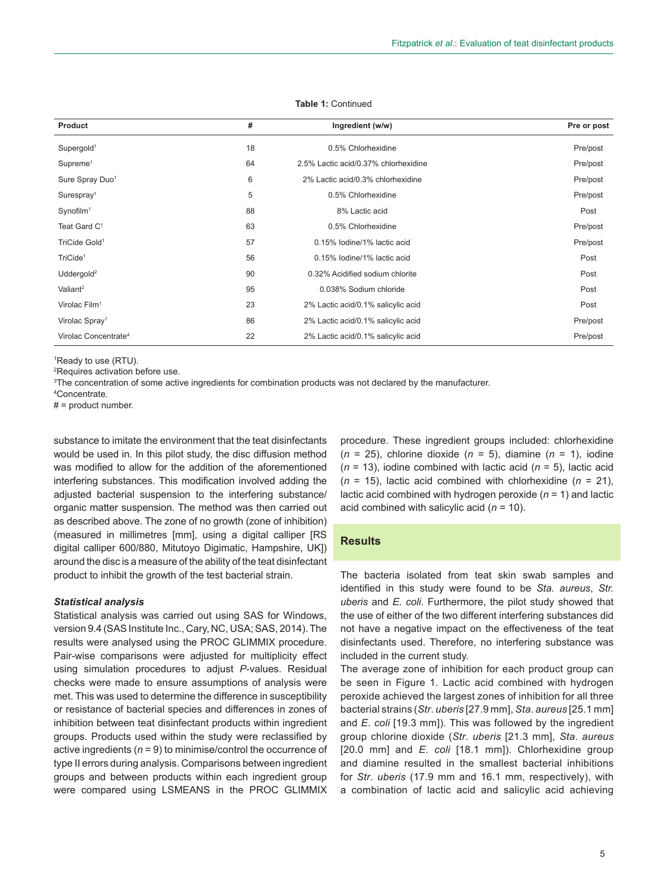| Product                          | #  | Ingredient (w/w)                     | Pre or post |
|----------------------------------|----|--------------------------------------|-------------|
| Supergold <sup>1</sup>           | 18 | 0.5% Chlorhexidine                   | Pre/post    |
| Supreme <sup>1</sup>             | 64 | 2.5% Lactic acid/0.37% chlorhexidine | Pre/post    |
| Sure Spray Duo <sup>1</sup>      | 6  | 2% Lactic acid/0.3% chlorhexidine    | Pre/post    |
| Surespray <sup>1</sup>           | 5  | 0.5% Chlorhexidine                   | Pre/post    |
| Synofilm <sup>1</sup>            | 88 | 8% Lactic acid                       | Post        |
| Teat Gard C <sup>1</sup>         | 63 | 0.5% Chlorhexidine                   | Pre/post    |
| TriCide Gold <sup>1</sup>        | 57 | 0.15% lodine/1% lactic acid          | Pre/post    |
| TriCide <sup>1</sup>             | 56 | 0.15% Iodine/1% lactic acid          | Post        |
| Uddergold <sup>2</sup>           | 90 | 0.32% Acidified sodium chlorite      | Post        |
| Valiant <sup>2</sup>             | 95 | 0.038% Sodium chloride               | Post        |
| Virolac Film <sup>1</sup>        | 23 | 2% Lactic acid/0.1% salicylic acid   | Post        |
| Virolac Spray <sup>1</sup>       | 86 | 2% Lactic acid/0.1% salicylic acid   | Pre/post    |
| Virolac Concentrate <sup>4</sup> | 22 | 2% Lactic acid/0.1% salicylic acid   | Pre/post    |

#### **Table 1:** Continued

1 Ready to use (RTU).

2 Requires activation before use.

3 The concentration of some active ingredients for combination products was not declared by the manufacturer.

4 Concentrate.

 $# =$  product number.

substance to imitate the environment that the teat disinfectants would be used in. In this pilot study, the disc diffusion method was modified to allow for the addition of the aforementioned interfering substances. This modification involved adding the adjusted bacterial suspension to the interfering substance/ organic matter suspension. The method was then carried out as described above. The zone of no growth (zone of inhibition) (measured in millimetres [mm], using a digital calliper [RS digital calliper 600/880, Mitutoyo Digimatic, Hampshire, UK]) around the disc is a measure of the ability of the teat disinfectant product to inhibit the growth of the test bacterial strain.

#### *Statistical analysis*

Statistical analysis was carried out using SAS for Windows, version 9.4 (SAS Institute Inc., Cary, NC, USA; SAS, 2014). The results were analysed using the PROC GLIMMIX procedure. Pair-wise comparisons were adjusted for multiplicity effect using simulation procedures to adjust *P*-values. Residual checks were made to ensure assumptions of analysis were met. This was used to determine the difference in susceptibility or resistance of bacterial species and differences in zones of inhibition between teat disinfectant products within ingredient groups. Products used within the study were reclassified by active ingredients (*n* = 9) to minimise/control the occurrence of type II errors during analysis. Comparisons between ingredient groups and between products within each ingredient group were compared using LSMEANS in the PROC GLIMMIX procedure. These ingredient groups included: chlorhexidine (*n* = 25), chlorine dioxide (*n* = 5), diamine (*n* = 1), iodine (*n* = 13), iodine combined with lactic acid (*n* = 5), lactic acid  $(n = 15)$ , lactic acid combined with chlorhexidine  $(n = 21)$ , lactic acid combined with hydrogen peroxide (*n* = 1) and lactic acid combined with salicylic acid (*n* = 10).

# **Results**

The bacteria isolated from teat skin swab samples and identified in this study were found to be *Sta. aureus*, *Str. uberis* and *E. coli*. Furthermore, the pilot study showed that the use of either of the two different interfering substances did not have a negative impact on the effectiveness of the teat disinfectants used. Therefore, no interfering substance was included in the current study.

The average zone of inhibition for each product group can be seen in Figure 1. Lactic acid combined with hydrogen peroxide achieved the largest zones of inhibition for all three bacterial strains (*Str*. *uberis* [27.9 mm], *Sta*. *aureus* [25.1 mm] and *E*. *coli* [19.3 mm]). This was followed by the ingredient group chlorine dioxide (*Str*. *uberis* [21.3 mm], *Sta*. *aureus* [20.0 mm] and *E. coli* [18.1 mm]). Chlorhexidine group and diamine resulted in the smallest bacterial inhibitions for *Str*. *uberis* (17.9 mm and 16.1 mm, respectively), with a combination of lactic acid and salicylic acid achieving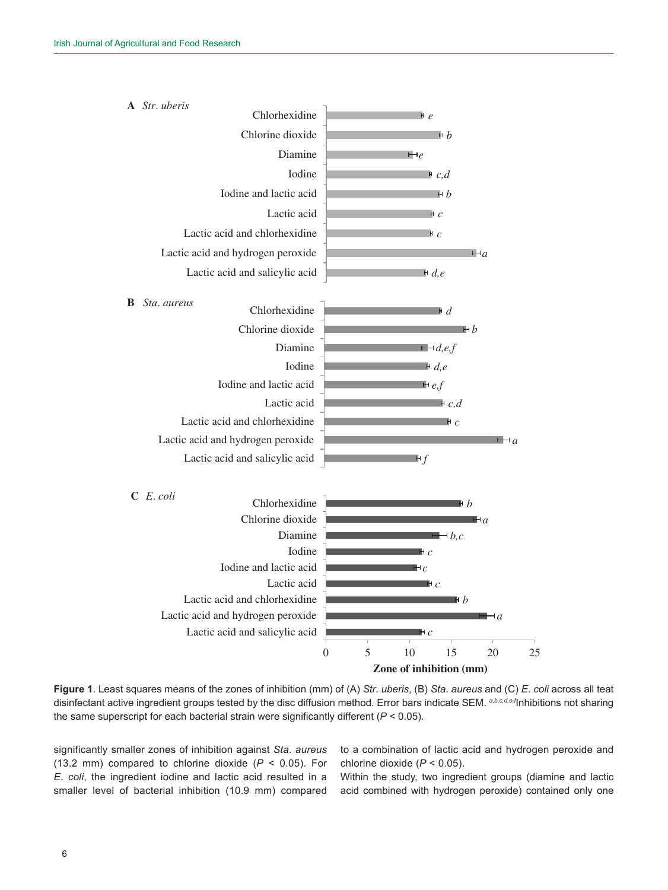

**Zone of inhibition (mm)**

**Figure 1**. Least squares means of the zones of inhibition (mm) of (A) *Str*. *uberis*, (B) *Sta*. *aureus* and (C) *E*. *coli* across all teat disinfectant active ingredient groups tested by the disc diffusion method. Error bars indicate SEM. *a,b,c,d,e,f*Inhibitions not sharing the same superscript for each bacterial strain were significantly different (*P* < 0.05).

significantly smaller zones of inhibition against *Sta*. *aureus* (13.2 mm) compared to chlorine dioxide (*P* < 0.05). For *E*. *coli*, the ingredient iodine and lactic acid resulted in a smaller level of bacterial inhibition (10.9 mm) compared to a combination of lactic acid and hydrogen peroxide and chlorine dioxide (*P* < 0.05).

Within the study, two ingredient groups (diamine and lactic acid combined with hydrogen peroxide) contained only one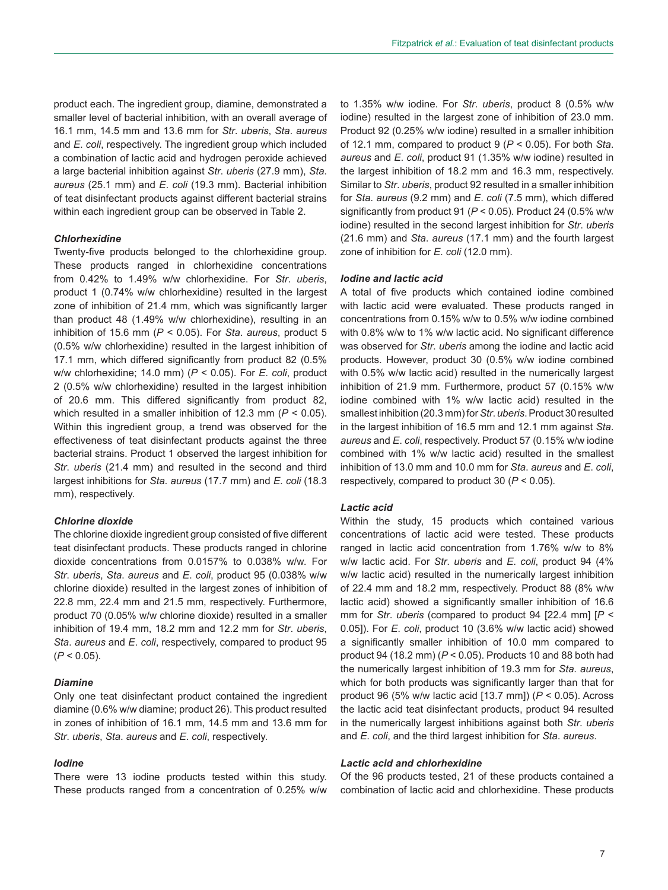product each. The ingredient group, diamine, demonstrated a smaller level of bacterial inhibition, with an overall average of 16.1 mm, 14.5 mm and 13.6 mm for *Str*. *uberis*, *Sta*. *aureus* and *E*. *coli*, respectively. The ingredient group which included a combination of lactic acid and hydrogen peroxide achieved a large bacterial inhibition against *Str*. *uberis* (27.9 mm), *Sta*. *aureus* (25.1 mm) and *E*. *coli* (19.3 mm). Bacterial inhibition of teat disinfectant products against different bacterial strains within each ingredient group can be observed in Table 2.

## *Chlorhexidine*

Twenty-five products belonged to the chlorhexidine group. These products ranged in chlorhexidine concentrations from 0.42% to 1.49% w/w chlorhexidine. For *Str*. *uberis*, product 1 (0.74% w/w chlorhexidine) resulted in the largest zone of inhibition of 21.4 mm, which was significantly larger than product 48 (1.49% w/w chlorhexidine), resulting in an inhibition of 15.6 mm (*P* < 0.05). For *Sta*. *aureus*, product 5 (0.5% w/w chlorhexidine) resulted in the largest inhibition of 17.1 mm, which differed significantly from product 82 (0.5% w/w chlorhexidine; 14.0 mm) (*P* < 0.05). For *E*. *coli*, product 2 (0.5% w/w chlorhexidine) resulted in the largest inhibition of 20.6 mm. This differed significantly from product 82, which resulted in a smaller inhibition of 12.3 mm (*P* < 0.05). Within this ingredient group, a trend was observed for the effectiveness of teat disinfectant products against the three bacterial strains. Product 1 observed the largest inhibition for *Str*. *uberis* (21.4 mm) and resulted in the second and third largest inhibitions for *Sta*. *aureus* (17.7 mm) and *E*. *coli* (18.3 mm), respectively.

#### *Chlorine dioxide*

The chlorine dioxide ingredient group consisted of five different teat disinfectant products. These products ranged in chlorine dioxide concentrations from 0.0157% to 0.038% w/w. For *Str*. *uberis*, *Sta*. *aureus* and *E*. *coli*, product 95 (0.038% w/w chlorine dioxide) resulted in the largest zones of inhibition of 22.8 mm, 22.4 mm and 21.5 mm, respectively. Furthermore, product 70 (0.05% w/w chlorine dioxide) resulted in a smaller inhibition of 19.4 mm, 18.2 mm and 12.2 mm for *Str*. *uberis*, *Sta*. *aureus* and *E*. *coli*, respectively, compared to product 95  $(P < 0.05)$ .

#### *Diamine*

Only one teat disinfectant product contained the ingredient diamine (0.6% w/w diamine; product 26). This product resulted in zones of inhibition of 16.1 mm, 14.5 mm and 13.6 mm for *Str*. *uberis*, *Sta*. *aureus* and *E*. *coli*, respectively.

## *Iodine*

There were 13 iodine products tested within this study. These products ranged from a concentration of 0.25% w/w to 1.35% w/w iodine. For *Str*. *uberis*, product 8 (0.5% w/w iodine) resulted in the largest zone of inhibition of 23.0 mm. Product 92 (0.25% w/w iodine) resulted in a smaller inhibition of 12.1 mm, compared to product 9 (*P* < 0.05). For both *Sta*. *aureus* and *E*. *coli*, product 91 (1.35% w/w iodine) resulted in the largest inhibition of 18.2 mm and 16.3 mm, respectively. Similar to *Str*. *uberis*, product 92 resulted in a smaller inhibition for *Sta*. *aureus* (9.2 mm) and *E*. *coli* (7.5 mm), which differed significantly from product 91 (*P* < 0.05). Product 24 (0.5% w/w iodine) resulted in the second largest inhibition for *Str*. *uberis* (21.6 mm) and *Sta*. *aureus* (17.1 mm) and the fourth largest zone of inhibition for *E*. *coli* (12.0 mm).

### *Iodine and lactic acid*

A total of five products which contained iodine combined with lactic acid were evaluated. These products ranged in concentrations from 0.15% w/w to 0.5% w/w iodine combined with 0.8% w/w to 1% w/w lactic acid. No significant difference was observed for *Str*. *uberis* among the iodine and lactic acid products. However, product 30 (0.5% w/w iodine combined with 0.5% w/w lactic acid) resulted in the numerically largest inhibition of 21.9 mm. Furthermore, product 57 (0.15% w/w iodine combined with 1% w/w lactic acid) resulted in the smallest inhibition (20.3 mm) for *Str*. *uberis*. Product 30 resulted in the largest inhibition of 16.5 mm and 12.1 mm against *Sta*. *aureus* and *E*. *coli*, respectively. Product 57 (0.15% w/w iodine combined with 1% w/w lactic acid) resulted in the smallest inhibition of 13.0 mm and 10.0 mm for *Sta*. *aureus* and *E*. *coli*, respectively, compared to product 30 (*P* < 0.05).

### *Lactic acid*

Within the study, 15 products which contained various concentrations of lactic acid were tested. These products ranged in lactic acid concentration from 1.76% w/w to 8% w/w lactic acid. For *Str*. *uberis* and *E*. *coli*, product 94 (4% w/w lactic acid) resulted in the numerically largest inhibition of 22.4 mm and 18.2 mm, respectively. Product 88 (8% w/w lactic acid) showed a significantly smaller inhibition of 16.6 mm for *Str*. *uberis* (compared to product 94 [22.4 mm] [*P* < 0.05]). For *E*. *coli*, product 10 (3.6% w/w lactic acid) showed a significantly smaller inhibition of 10.0 mm compared to product 94 (18.2 mm) (*P* < 0.05). Products 10 and 88 both had the numerically largest inhibition of 19.3 mm for *Sta*. *aureus*, which for both products was significantly larger than that for product 96 (5% w/w lactic acid [13.7 mm]) (*P* < 0.05). Across the lactic acid teat disinfectant products, product 94 resulted in the numerically largest inhibitions against both *Str*. *uberis* and *E*. *coli*, and the third largest inhibition for *Sta*. *aureus*.

## *Lactic acid and chlorhexidine*

Of the 96 products tested, 21 of these products contained a combination of lactic acid and chlorhexidine. These products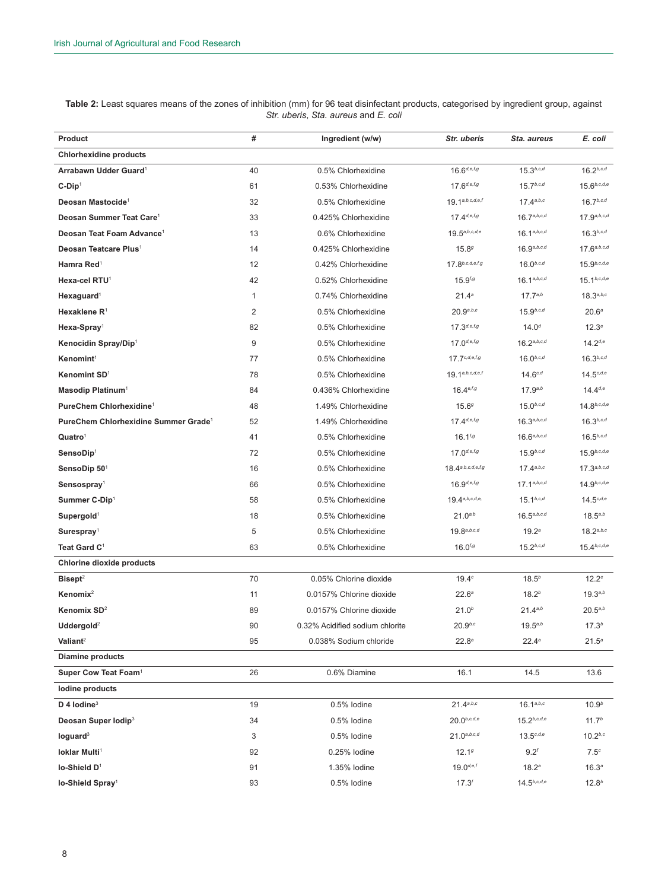| Table 2: Least squares means of the zones of inhibition (mm) for 96 teat disinfectant products, categorised by ingredient group, against |                                      |  |  |
|------------------------------------------------------------------------------------------------------------------------------------------|--------------------------------------|--|--|
|                                                                                                                                          | Str. uberis. Sta. aureus and E. coli |  |  |

| Product                                          | #  | Ingredient (w/w)                | Str. uberis               | Sta. aureus       | E. coli           |
|--------------------------------------------------|----|---------------------------------|---------------------------|-------------------|-------------------|
| <b>Chlorhexidine products</b>                    |    |                                 |                           |                   |                   |
| Arrabawn Udder Guard <sup>1</sup>                | 40 | 0.5% Chlorhexidine              | $16.6^{d,e,f,g}$          | $15.3^{b,c,d}$    | $16.2^{b,c,d}$    |
| $C-Dip1$                                         | 61 | 0.53% Chlorhexidine             | $17.6^{d,e,f,g}$          | $15.7^{b,c,d}$    | $15.6^{b,c,d,e}$  |
| Deosan Mastocide <sup>1</sup>                    | 32 | 0.5% Chlorhexidine              | $19.1^{a,b,c,d,e,f}$      | $17.4^{a,b,c}$    | $16.7^{b,c,d}$    |
| Deosan Summer Teat Care <sup>1</sup>             | 33 | 0.425% Chlorhexidine            | $17.4^{d,e,f,g}$          | 16.7a, b, c, d    | 17.9a,b,c,d       |
| Deosan Teat Foam Advance <sup>1</sup>            | 13 | 0.6% Chlorhexidine              | $19.5^{a,b,c,d,e}$        | $16.1^{a,b,c,d}$  | $16.3^{b,c,d}$    |
| Deosan Teatcare Plus <sup>1</sup>                | 14 | 0.425% Chlorhexidine            | 15.89                     | 16.9a, b, c, d    | 17.6a, b, c, d    |
| Hamra Red <sup>1</sup>                           | 12 | 0.42% Chlorhexidine             | $17.8^{b,c,d,e,f,g}$      | $16.0^{b,c,d}$    | $15.9^{b,c,d,e}$  |
| Hexa-cel RTU <sup>1</sup>                        | 42 | 0.52% Chlorhexidine             | $15.9^{f,g}$              | $16.1^{a,b,c,d}$  | $15.1^{b,c,d,e}$  |
| Hexaguard <sup>1</sup>                           | 1  | 0.74% Chlorhexidine             | 21.4 <sup>a</sup>         | $17.7^{a,b}$      | 18.3a, b, c       |
| Hexaklene R <sup>1</sup>                         | 2  | 0.5% Chlorhexidine              | 20.9a, b, c               | $15.9^{b,c,d}$    | 20.6 <sup>a</sup> |
| $Hexa-Spray1$                                    | 82 | 0.5% Chlorhexidine              | $17.3^{d,e,f,g}$          | $14.0^{d}$        | 12.3 <sup>e</sup> |
| Kenocidin Spray/Dip1                             | 9  | 0.5% Chlorhexidine              | $17.0$ <sub>d,e,f,g</sub> | 16.2a, b, c, d    | $14.2^{d,e}$      |
| Kenomint <sup>1</sup>                            | 77 | 0.5% Chlorhexidine              | $17.7^{c,d,e,f,g}$        | $16.0^{b,c,d}$    | $16.3^{b,c,d}$    |
| Kenomint SD <sup>1</sup>                         | 78 | 0.5% Chlorhexidine              | $19.1^{a,b,c,d,e,f}$      | $14.6^{c,d}$      | $14.5^{c,d,e}$    |
| Masodip Platinum <sup>1</sup>                    | 84 | 0.436% Chlorhexidine            | $16.4^{e,f,g}$            | $17.9^{a,b}$      | $14.4^{d,e}$      |
| PureChem Chlorhexidine <sup>1</sup>              | 48 | 1.49% Chlorhexidine             | 15.69                     | $15.0^{b,c,d}$    | $14.8^{b,c,d,e}$  |
| PureChem Chlorhexidine Summer Grade <sup>1</sup> | 52 | 1.49% Chlorhexidine             | $17.4^{d,e,f,g}$          | $16.3^{a,b,c,d}$  | $16.3^{b,c,d}$    |
| Quatro <sup>1</sup>                              | 41 | 0.5% Chlorhexidine              | $16.1$ <sup>f,g</sup>     | 16.6a, b, c, d    | $16.5^{b,c,d}$    |
| SensoDip <sup>1</sup>                            | 72 | 0.5% Chlorhexidine              | $17.0$ <sub>d,e,f,g</sub> | $15.9^{b,c,d}$    | $15.9^{b,c,d,e}$  |
| SensoDip 501                                     | 16 | 0.5% Chlorhexidine              | $18.4^{a,b,c,d,e,f,g}$    | $17.4^{a,b,c}$    | $17.3^{a,b,c,d}$  |
| Sensospray <sup>1</sup>                          | 66 | 0.5% Chlorhexidine              | $16.9$ <sub>d,e,f,g</sub> | 17.1a,b,c,d       | $14.9^{b,c,d,e}$  |
| Summer C-Dip1                                    | 58 | 0.5% Chlorhexidine              | $19.4^{a,b,c,d,e}$        | $15.1^{b,c,d}$    | $14.5^{c,d,e}$    |
| Supergold <sup>1</sup>                           | 18 | 0.5% Chlorhexidine              | $21.0^{a,b}$              | $16.5^{a,b,c,d}$  | $18.5^{a,b}$      |
| Surespray <sup>1</sup>                           | 5  | 0.5% Chlorhexidine              | 19.8a, b, c, d            | 19.2 <sup>a</sup> | $18.2^{a,b,c}$    |
| Teat Gard C <sup>1</sup>                         | 63 | 0.5% Chlorhexidine              | $16.0$ <sup>f,g</sup>     | $15.2^{b,c,d}$    | $15.4^{b,c,d,e}$  |
| <b>Chlorine dioxide products</b>                 |    |                                 |                           |                   |                   |
| Bisept <sup>2</sup>                              | 70 | 0.05% Chlorine dioxide          | 19.4c                     | $18.5^{b}$        | 12.2 <sup>c</sup> |
| Kenomix $2$                                      | 11 | 0.0157% Chlorine dioxide        | $22.6^a$                  | $18.2^{b}$        | $19.3^{a,b}$      |
| Kenomix SD <sup>2</sup>                          | 89 | 0.0157% Chlorine dioxide        | $21.0^{b}$                | $21.4^{a,b}$      | $20.5^{a,b}$      |
| Uddergold <sup>2</sup>                           | 90 | 0.32% Acidified sodium chlorite | $20.9^{b,c}$              | $19.5^{a,b}$      | 17.3 <sup>b</sup> |
| Valiant <sup>2</sup>                             | 95 | 0.038% Sodium chloride          | $22.8^a$                  | $22.4^a$          | $21.5^a$          |
| <b>Diamine products</b>                          |    |                                 |                           |                   |                   |
| Super Cow Teat Foam <sup>1</sup>                 | 26 | 0.6% Diamine                    | 16.1                      | 14.5              | 13.6              |
| lodine products                                  |    |                                 |                           |                   |                   |
| D 4 lodine $3$                                   | 19 | 0.5% lodine                     | 21.4a, b, c               | $16.1^{a,b,c}$    | 10.9 <sup>b</sup> |
| Deosan Super Iodip <sup>3</sup>                  | 34 | 0.5% lodine                     | $20.0^{b,c,d,e}$          | $15.2^{b,c,d,e}$  | 11.7 <sup>b</sup> |
| loguard <sup>3</sup>                             | 3  | 0.5% lodine                     | $21.0^{a,b,c,d}$          | $13.5^{c,d,e}$    | $10.2^{b,c}$      |
| loklar Multi <sup>1</sup>                        | 92 | 0.25% lodine                    | 12.19                     | 9.2 <sup>f</sup>  | 7.5 <sup>c</sup>  |
| lo-Shield D <sup>1</sup>                         | 91 | 1.35% lodine                    | $19.0^{d,e,f}$            | $18.2^a$          | $16.3^a$          |
| lo-Shield Spray <sup>1</sup>                     | 93 | 0.5% lodine                     | $17.3^{f}$                | $14.5^{b,c,d,e}$  | $12.8^{b}$        |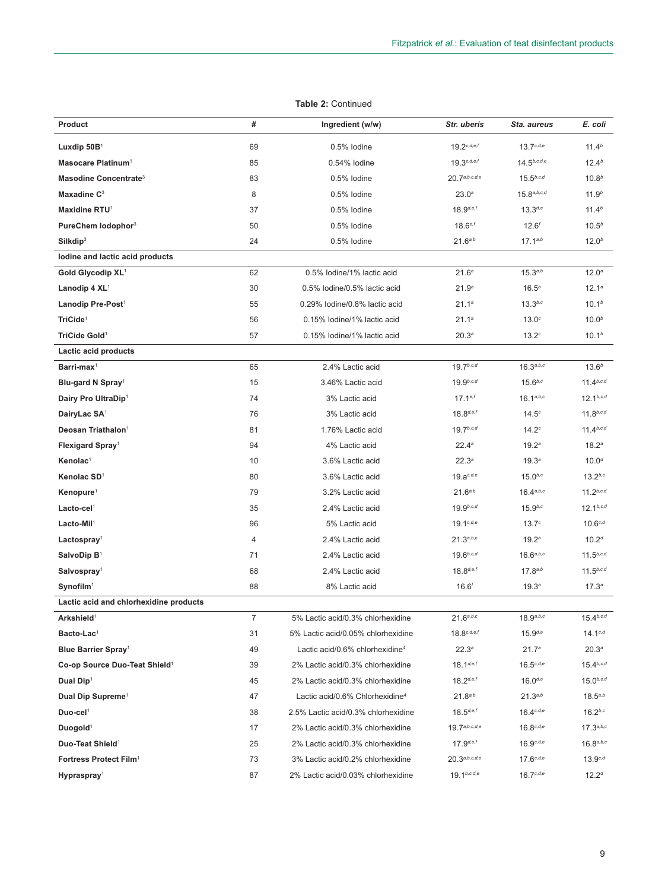| Product                                   | #  | Ingredient (w/w)                            | Str. uberis       | Sta. aureus       | E. coli           |
|-------------------------------------------|----|---------------------------------------------|-------------------|-------------------|-------------------|
| Luxdip $50B1$                             | 69 | 0.5% lodine                                 | $19.2^{c,d,e,f}$  | $13.7^{c,d,e}$    | 11.4 <sup>b</sup> |
| Masocare Platinum <sup>1</sup>            | 85 | 0.54% lodine                                | $19.3^{c,d,e,f}$  | $14.5^{b,c,d,e}$  | 12.4 <sup>b</sup> |
| Masodine Concentrate <sup>3</sup>         | 83 | 0.5% lodine                                 | 20.7a,b,c,d,e     | $15.5^{b,c,d}$    | 10.8 <sup>b</sup> |
| Maxadine C <sup>3</sup>                   | 8  | 0.5% lodine                                 | 23.0 <sup>a</sup> | 15.8a, b, c, d    | 11.9 <sup>b</sup> |
| Maxidine RTU1                             | 37 | 0.5% lodine                                 | $18.9^{d,e,f}$    | $13.3^{d,e}$      | 11.4 <sup>b</sup> |
| PureChem lodophor <sup>3</sup>            | 50 | 0.5% lodine                                 | $18.6^{e,f}$      | $12.6^{f}$        | 10.5 <sup>b</sup> |
| Silk dip <sup>3</sup>                     | 24 | 0.5% lodine                                 | $21.6^{a,b}$      | $17.1^{a,b}$      | 12.0 <sup>b</sup> |
| lodine and lactic acid products           |    |                                             |                   |                   |                   |
| Gold Glycodip XL <sup>1</sup>             | 62 | 0.5% lodine/1% lactic acid                  | 21.6 <sup>a</sup> | $15.3^{a,b}$      | 12.0 <sup>a</sup> |
| Lanodip $4 \text{ XL}^1$                  | 30 | 0.5% lodine/0.5% lactic acid                | 21.9 <sup>a</sup> | $16.5^{\circ}$    | $12.1^a$          |
| Lanodip Pre-Post <sup>1</sup>             | 55 | 0.29% lodine/0.8% lactic acid               | 21.1a             | $13.3^{b,c}$      | 10.1 <sup>b</sup> |
| TriCide <sup>1</sup>                      | 56 | 0.15% lodine/1% lactic acid                 | 21.1 <sup>a</sup> | $13.0^\circ$      | 10.0 <sup>b</sup> |
| TriCide Gold <sup>1</sup>                 | 57 | 0.15% lodine/1% lactic acid                 | 20.3 <sup>a</sup> | 13.2 <sup>c</sup> | 10.1 <sup>b</sup> |
| Lactic acid products                      |    |                                             |                   |                   |                   |
| $Barri$ -max <sup>1</sup>                 | 65 | 2.4% Lactic acid                            | $19.7^{b,c,d}$    | $16.3^{a,b,c}$    | $13.6^{b}$        |
| Blu-gard N Spray <sup>1</sup>             | 15 | 3.46% Lactic acid                           | $19.9^{b,c,d}$    | $15.6^{b,c}$      | $11.4^{b,c,d}$    |
| Dairy Pro UltraDip1                       | 74 | 3% Lactic acid                              | $17.1^{e,f}$      | $16.1^{a,b,c}$    | $12.1^{b,c,d}$    |
| Dairy Lac SA <sup>1</sup>                 | 76 | 3% Lactic acid                              | $18.8^{d,e,f}$    | $14.5^\circ$      | $11.8^{b,c,d}$    |
| Deosan Triathalon <sup>1</sup>            | 81 | 1.76% Lactic acid                           | $19.7^{b,c,d}$    | 14.2 <sup>c</sup> | $11.4^{b,c,d}$    |
| Flexigard Spray <sup>1</sup>              | 94 | 4% Lactic acid                              | $22.4^a$          | 19.2 <sup>a</sup> | 18.2 <sup>a</sup> |
| Kenolac <sup>1</sup>                      | 10 | 3.6% Lactic acid                            | $22.3^{\circ}$    | 19.3 <sup>a</sup> | $10.0^{d}$        |
| Kenolac SD <sup>1</sup>                   | 80 | 3.6% Lactic acid                            | $19.a^{c,d,e}$    | $15.0^{b,c}$      | $13.2^{b,c}$      |
| Kenopure <sup>1</sup>                     | 79 | 3.2% Lactic acid                            | 21.6a,b           | 16.4a, b, c       | $11.2^{b,c,d}$    |
| $Lacto-cel1$                              | 35 | 2.4% Lactic acid                            | $19.9^{b,c,d}$    | $15.9^{b,c}$      | $12.1^{b,c,d}$    |
| $Lacto-Mil1$                              | 96 | 5% Lactic acid                              | $19.1^{c,d,e}$    | 13.7 <sup>c</sup> | $10.6^{c,d}$      |
| Lactospray <sup>1</sup>                   | 4  | 2.4% Lactic acid                            | 21.3a,b,c         | 19.2 <sup>a</sup> | 10.2 <sup>d</sup> |
| SalvoDip $B^1$                            | 71 | 2.4% Lactic acid                            | $19.6^{b,c,d}$    | $16.6^{a,b,c}$    | $11.5^{b,c,d}$    |
| Salvospray <sup>1</sup>                   | 68 | 2.4% Lactic acid                            | $18.8^{d,e,f}$    | $17.8^{a,b}$      | $11.5^{b,c,d}$    |
| Symofilm <sup>1</sup>                     | 88 | 8% Lactic acid                              | $16.6^{f}$        | 19.3 <sup>a</sup> | 17.3 <sup>a</sup> |
| Lactic acid and chlorhexidine products    |    |                                             |                   |                   |                   |
| Arkshield <sup>1</sup>                    | 7  | 5% Lactic acid/0.3% chlorhexidine           | $21.6^{a,b,c}$    | $18.9^{a,b,c}$    | $15.4^{b,c,d}$    |
| Bacto-Lac <sup>1</sup>                    | 31 | 5% Lactic acid/0.05% chlorhexidine          | $18.8^{c,d,e,f}$  | $15.9^{d,e}$      | $14.1^{c,d}$      |
| Blue Barrier Spray <sup>1</sup>           | 49 | Lactic acid/0.6% chlorhexidine <sup>4</sup> | $22.3^{\circ}$    | 21.7 <sup>a</sup> | $20.3^{a}$        |
| Co-op Source Duo-Teat Shield <sup>1</sup> | 39 | 2% Lactic acid/0.3% chlorhexidine           | $18.1^{d,e,f}$    | $16.5^{c,d,e}$    | $15.4^{b,c,d}$    |
| Dual Dip <sup>1</sup>                     | 45 | 2% Lactic acid/0.3% chlorhexidine           | $18.2^{d,e,f}$    | $16.0^{d,e}$      | $15.0^{b,c,d}$    |
| Dual Dip Supreme <sup>1</sup>             | 47 | Lactic acid/0.6% Chlorhexidine <sup>4</sup> | $21.8^{a,b}$      | $21.3^{a,b}$      | $18.5^{a,b}$      |
| Duo-cel <sup>1</sup>                      | 38 | 2.5% Lactic acid/0.3% chlorhexidine         | $18.5^{d,e,f}$    | $16.4^{c,d,e}$    | $16.2^{b,c}$      |
| Duogold <sup>1</sup>                      | 17 | 2% Lactic acid/0.3% chlorhexidine           | 19.7a,b,c,d,e     | $16.8^{c,d,e}$    | 17.3a, b, c       |

**Duo-Teat Shield**<sup>1</sup> 25 2% Lactic acid/0.3% chlorhexidine 17.9<sup>de,f</sup> 16.9<sup>c,d,e</sup> 16.8<sup>a,b,c</sup> **Fortress Protect Film**<sup>1</sup> 73 3% Lactic acid/0.2% chlorhexidine 20.3<sup>a,b,c,d,e</sup> 17.6<sup>c,d,e</sup> 13.9<sup>c,d</sup> Hypraspray<sup>1</sup> 16.7<sup>c,d,e</sup> 12.2<sup>d</sup> 87 2% Lactic acid/0.03% chlorhexidine 19.1<sup>b,c,d,e</sup> 16.7<sup>c,d,e</sup> 12.2<sup>d</sup>

## **Table 2:** Continued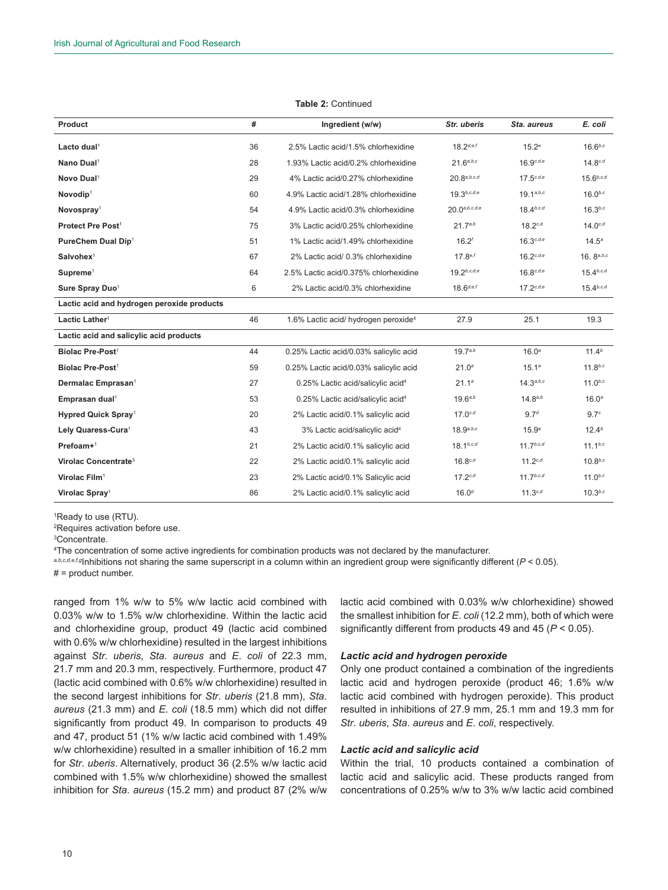| Product                                    | #  | Ingredient (w/w)                                 | Str. uberis       | Sta, aureus       | E. coli           |
|--------------------------------------------|----|--------------------------------------------------|-------------------|-------------------|-------------------|
| Lacto dual <sup>1</sup>                    | 36 | 2.5% Lactic acid/1.5% chlorhexidine              | $18.2^{d,e,f}$    | $15.2^e$          | $16.6^{b,c}$      |
| Nano Dual <sup>1</sup>                     | 28 | 1.93% Lactic acid/0.2% chlorhexidine             | 21.6a, b, c       | $16.9^{c,d,e}$    | $14.8^{c,d}$      |
| Novo Dual <sup>1</sup>                     | 29 | 4% Lactic acid/0.27% chlorhexidine               | 20.8a, b, c, d    | $17.5^{c,d,e}$    | $15.6^{b,c,d}$    |
| Novodip <sup>1</sup>                       | 60 | 4.9% Lactic acid/1.28% chlorhexidine             | $19.3^{b,c,d,e}$  | $19.1^{a,b,c}$    | $16.0^{b,c}$      |
| Novospray <sup>1</sup>                     | 54 | 4.9% Lactic acid/0.3% chlorhexidine              | 20.0a, b, c, d, e | $18.4^{b,c,d}$    | $16.3^{b,c}$      |
| Protect Pre Post <sup>1</sup>              | 75 | 3% Lactic acid/0.25% chlorhexidine               | $21.7^{a,b}$      | $18.2^{c,d}$      | $14.0^{c,d}$      |
| PureChem Dual Dip <sup>1</sup>             | 51 | 1% Lactic acid/1.49% chlorhexidine               | $16.2^{f}$        | $16.3^{c,d,e}$    | $14.5^{\circ}$    |
| Salvohex <sup>1</sup>                      | 67 | 2% Lactic acid/ 0.3% chlorhexidine               | $17.8^{e,f}$      | $16.2^{c,d,e}$    | 16. $8^{a,b,c}$   |
| Supreme <sup>1</sup>                       | 64 | 2.5% Lactic acid/0.375% chlorhexidine            | $19.2^{b,c,d,e}$  | $16.8^{c,d,e}$    | $15.4^{b,c,d}$    |
| Sure Spray Duo <sup>1</sup>                | 6  | 2% Lactic acid/0.3% chlorhexidine                | $18.6^{d,e,f}$    | $17.2^{c,d,e}$    | $15.4^{b,c,d}$    |
| Lactic acid and hydrogen peroxide products |    |                                                  |                   |                   |                   |
| Lactic Lather <sup>1</sup>                 | 46 | 1.6% Lactic acid/ hydrogen peroxide <sup>4</sup> | 27.9              | 25.1              | 19.3              |
| Lactic acid and salicylic acid products    |    |                                                  |                   |                   |                   |
| Biolac Pre-Post <sup>1</sup>               | 44 | 0.25% Lactic acid/0.03% salicylic acid           | $19.7^{a,b}$      | 16.0 <sup>a</sup> | $11.4^{b}$        |
| Biolac Pre-Post <sup>1</sup>               | 59 | 0.25% Lactic acid/0.03% salicylic acid           | 21.0 <sup>a</sup> | 15.1 <sup>a</sup> | $11.8^{b,c}$      |
| Dermalac Emprasan <sup>1</sup>             | 27 | 0.25% Lactic acid/salicylic acid <sup>4</sup>    | 21.1 <sup>a</sup> | 14.3a, b, c       | $11.0^{b,c}$      |
| Emprasan dual <sup>1</sup>                 | 53 | 0.25% Lactic acid/salicylic acid <sup>4</sup>    | $19.6^{a,b}$      | $14.8^{a,b}$      | 16.0 <sup>a</sup> |
| Hypred Quick Spray <sup>1</sup>            | 20 | 2% Lactic acid/0.1% salicylic acid               | $17.0^{c,d}$      | 9.7 <sup>d</sup>  | 9.7 <sup>c</sup>  |
| Lely Quaress-Cura <sup>1</sup>             | 43 | 3% Lactic acid/salicylic acid <sup>4</sup>       | $18.9^{a,b,c}$    | 15.9 <sup>a</sup> | 12.4 <sup>b</sup> |
| $Prefoam+1$                                | 21 | 2% Lactic acid/0.1% salicylic acid               | $18.1^{b,c,d}$    | $11.7^{b,c,d}$    | $11.1^{b,c}$      |
| Virolac Concentrate <sup>3</sup>           | 22 | 2% Lactic acid/0.1% salicylic acid               | $16.8^{c,d}$      | $11.2^{c,d}$      | $10.8^{b,c}$      |
| Virolac Film <sup>1</sup>                  | 23 | 2% Lactic acid/0.1% Salicylic acid               | $17.2^{c,d}$      | $11.7^{b,c,d}$    | $11.0^{b,c}$      |
| Virolac Spray <sup>1</sup>                 | 86 | 2% Lactic acid/0.1% salicylic acid               | $16.0^{d}$        | $11.3^{c,d}$      | $10.3^{b,c}$      |

#### **Table 2:** Continued

1 Ready to use (RTU).

2 Requires activation before use.

3 Concentrate.

4 The concentration of some active ingredients for combination products was not declared by the manufacturer.

*a,b,c,d,e,f,g*Inhibitions not sharing the same superscript in a column within an ingredient group were significantly different (*P* < 0.05).

 $# =$  product number.

ranged from 1% w/w to 5% w/w lactic acid combined with 0.03% w/w to 1.5% w/w chlorhexidine. Within the lactic acid and chlorhexidine group, product 49 (lactic acid combined with 0.6% w/w chlorhexidine) resulted in the largest inhibitions against *Str*. *uberis*, *Sta*. *aureus* and *E*. *coli* of 22.3 mm, 21.7 mm and 20.3 mm, respectively. Furthermore, product 47 (lactic acid combined with 0.6% w/w chlorhexidine) resulted in the second largest inhibitions for *Str*. *uberis* (21.8 mm), *Sta*. *aureus* (21.3 mm) and *E*. *coli* (18.5 mm) which did not differ significantly from product 49. In comparison to products 49 and 47, product 51 (1% w/w lactic acid combined with 1.49% w/w chlorhexidine) resulted in a smaller inhibition of 16.2 mm for *Str*. *uberis*. Alternatively, product 36 (2.5% w/w lactic acid combined with 1.5% w/w chlorhexidine) showed the smallest inhibition for *Sta*. *aureus* (15.2 mm) and product 87 (2% w/w

lactic acid combined with 0.03% w/w chlorhexidine) showed the smallest inhibition for *E*. *coli* (12.2 mm), both of which were significantly different from products 49 and 45 (*P* < 0.05).

## *Lactic acid and hydrogen peroxide*

Only one product contained a combination of the ingredients lactic acid and hydrogen peroxide (product 46; 1.6% w/w lactic acid combined with hydrogen peroxide). This product resulted in inhibitions of 27.9 mm, 25.1 mm and 19.3 mm for *Str*. *uberis*, *Sta*. *aureus* and *E*. *coli*, respectively.

## *Lactic acid and salicylic acid*

Within the trial, 10 products contained a combination of lactic acid and salicylic acid. These products ranged from concentrations of 0.25% w/w to 3% w/w lactic acid combined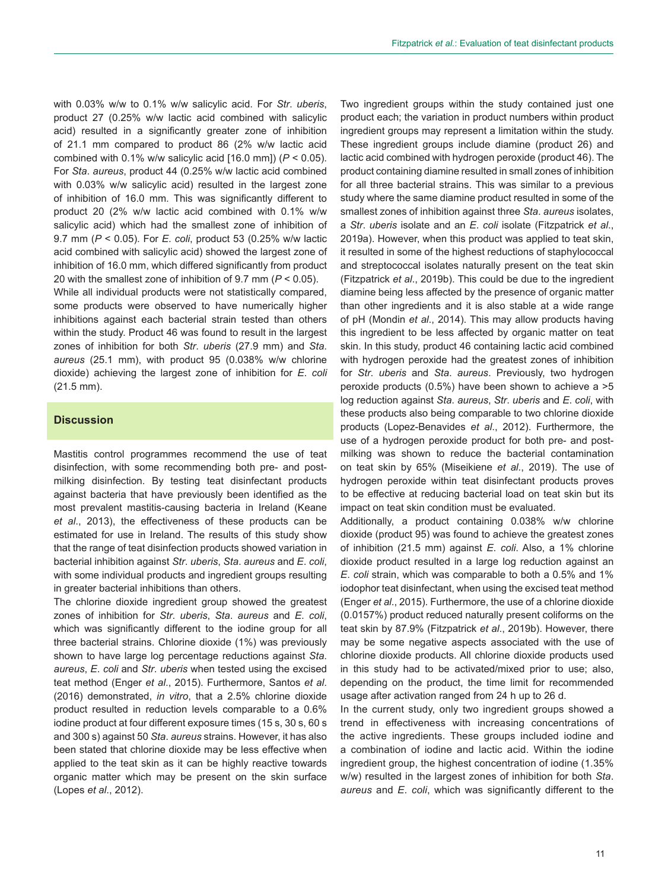with 0.03% w/w to 0.1% w/w salicylic acid. For *Str*. *uberis*, product 27 (0.25% w/w lactic acid combined with salicylic acid) resulted in a significantly greater zone of inhibition of 21.1 mm compared to product 86 (2% w/w lactic acid combined with 0.1% w/w salicylic acid [16.0 mm]) (*P* < 0.05). For *Sta*. *aureus*, product 44 (0.25% w/w lactic acid combined with 0.03% w/w salicylic acid) resulted in the largest zone of inhibition of 16.0 mm. This was significantly different to product 20 (2% w/w lactic acid combined with 0.1% w/w salicylic acid) which had the smallest zone of inhibition of 9.7 mm (*P* < 0.05). For *E*. *coli*, product 53 (0.25% w/w lactic acid combined with salicylic acid) showed the largest zone of inhibition of 16.0 mm, which differed significantly from product 20 with the smallest zone of inhibition of 9.7 mm (*P* < 0.05).

While all individual products were not statistically compared, some products were observed to have numerically higher inhibitions against each bacterial strain tested than others within the study. Product 46 was found to result in the largest zones of inhibition for both *Str*. *uberis* (27.9 mm) and *Sta*. *aureus* (25.1 mm), with product 95 (0.038% w/w chlorine dioxide) achieving the largest zone of inhibition for *E*. *coli* (21.5 mm).

## **Discussion**

Mastitis control programmes recommend the use of teat disinfection, with some recommending both pre- and postmilking disinfection. By testing teat disinfectant products against bacteria that have previously been identified as the most prevalent mastitis-causing bacteria in Ireland (Keane *et al*., 2013), the effectiveness of these products can be estimated for use in Ireland. The results of this study show that the range of teat disinfection products showed variation in bacterial inhibition against *Str*. *uberis*, *Sta*. *aureus* and *E*. *coli*, with some individual products and ingredient groups resulting in greater bacterial inhibitions than others.

The chlorine dioxide ingredient group showed the greatest zones of inhibition for *Str*. *uberis*, *Sta*. *aureus* and *E*. *coli*, which was significantly different to the iodine group for all three bacterial strains. Chlorine dioxide (1%) was previously shown to have large log percentage reductions against *Sta*. *aureus*, *E*. *coli* and *Str*. *uberis* when tested using the excised teat method (Enger *et al*., 2015). Furthermore, Santos *et al*. (2016) demonstrated, *in vitro*, that a 2.5% chlorine dioxide product resulted in reduction levels comparable to a 0.6% iodine product at four different exposure times (15 s, 30 s, 60 s and 300 s) against 50 *Sta*. *aureus* strains. However, it has also been stated that chlorine dioxide may be less effective when applied to the teat skin as it can be highly reactive towards organic matter which may be present on the skin surface (Lopes *et al*., 2012).

Two ingredient groups within the study contained just one product each; the variation in product numbers within product ingredient groups may represent a limitation within the study. These ingredient groups include diamine (product 26) and lactic acid combined with hydrogen peroxide (product 46). The product containing diamine resulted in small zones of inhibition for all three bacterial strains. This was similar to a previous study where the same diamine product resulted in some of the smallest zones of inhibition against three *Sta*. *aureus* isolates, a *Str*. *uberis* isolate and an *E*. *coli* isolate (Fitzpatrick *et al*., 2019a). However, when this product was applied to teat skin, it resulted in some of the highest reductions of staphylococcal and streptococcal isolates naturally present on the teat skin (Fitzpatrick *et al*., 2019b). This could be due to the ingredient diamine being less affected by the presence of organic matter than other ingredients and it is also stable at a wide range of pH (Mondin *et al*., 2014). This may allow products having this ingredient to be less affected by organic matter on teat skin. In this study, product 46 containing lactic acid combined with hydrogen peroxide had the greatest zones of inhibition for *Str*. *uberis* and *Sta*. *aureus*. Previously, two hydrogen peroxide products (0.5%) have been shown to achieve a >5 log reduction against *Sta*. *aureus*, *Str*. *uberis* and *E*. *coli*, with these products also being comparable to two chlorine dioxide products (Lopez-Benavides *et al*., 2012). Furthermore, the use of a hydrogen peroxide product for both pre- and postmilking was shown to reduce the bacterial contamination on teat skin by 65% (Miseikiene *et al.*, 2019). The use of hydrogen peroxide within teat disinfectant products proves to be effective at reducing bacterial load on teat skin but its impact on teat skin condition must be evaluated.

Additionally, a product containing 0.038% w/w chlorine dioxide (product 95) was found to achieve the greatest zones of inhibition (21.5 mm) against *E*. *coli*. Also, a 1% chlorine dioxide product resulted in a large log reduction against an *E*. *coli* strain, which was comparable to both a 0.5% and 1% iodophor teat disinfectant, when using the excised teat method (Enger *et al*., 2015). Furthermore, the use of a chlorine dioxide (0.0157%) product reduced naturally present coliforms on the teat skin by 87.9% (Fitzpatrick *et al*., 2019b). However, there may be some negative aspects associated with the use of chlorine dioxide products. All chlorine dioxide products used in this study had to be activated/mixed prior to use; also, depending on the product, the time limit for recommended usage after activation ranged from 24 h up to 26 d.

In the current study, only two ingredient groups showed a trend in effectiveness with increasing concentrations of the active ingredients. These groups included iodine and a combination of iodine and lactic acid. Within the iodine ingredient group, the highest concentration of iodine (1.35% w/w) resulted in the largest zones of inhibition for both *Sta*. *aureus* and *E*. *coli*, which was significantly different to the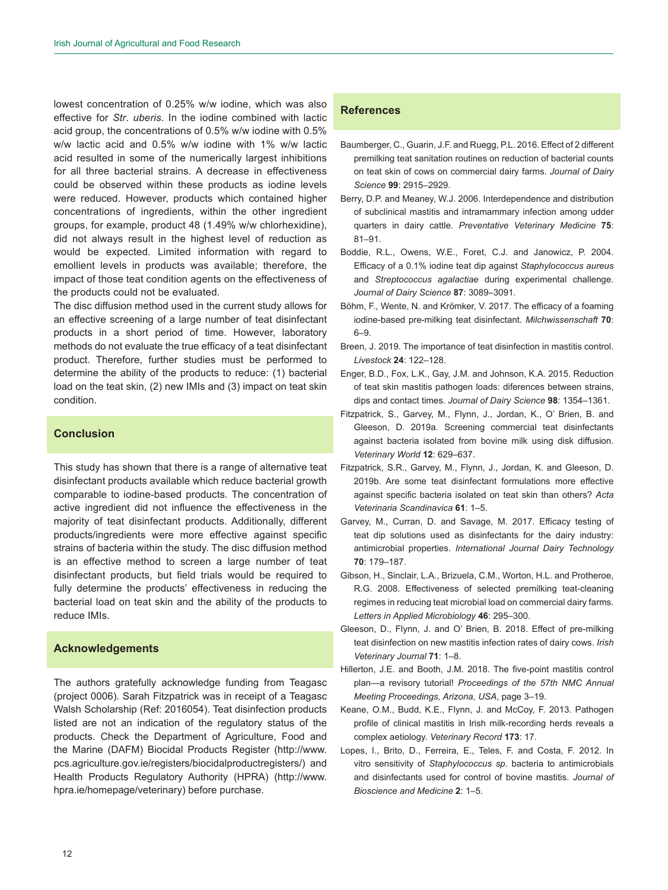lowest concentration of 0.25% w/w iodine, which was also effective for *Str*. *uberis*. In the iodine combined with lactic acid group, the concentrations of 0.5% w/w iodine with 0.5% w/w lactic acid and 0.5% w/w iodine with 1% w/w lactic acid resulted in some of the numerically largest inhibitions for all three bacterial strains. A decrease in effectiveness could be observed within these products as iodine levels were reduced. However, products which contained higher concentrations of ingredients, within the other ingredient groups, for example, product 48 (1.49% w/w chlorhexidine), did not always result in the highest level of reduction as would be expected. Limited information with regard to emollient levels in products was available; therefore, the impact of those teat condition agents on the effectiveness of the products could not be evaluated.

The disc diffusion method used in the current study allows for an effective screening of a large number of teat disinfectant products in a short period of time. However, laboratory methods do not evaluate the true efficacy of a teat disinfectant product. Therefore, further studies must be performed to determine the ability of the products to reduce: (1) bacterial load on the teat skin, (2) new IMIs and (3) impact on teat skin condition.

## **Conclusion**

This study has shown that there is a range of alternative teat disinfectant products available which reduce bacterial growth comparable to iodine-based products. The concentration of active ingredient did not influence the effectiveness in the majority of teat disinfectant products. Additionally, different products/ingredients were more effective against specific strains of bacteria within the study. The disc diffusion method is an effective method to screen a large number of teat disinfectant products, but field trials would be required to fully determine the products' effectiveness in reducing the bacterial load on teat skin and the ability of the products to reduce IMIs.

## **Acknowledgements**

The authors gratefully acknowledge funding from Teagasc (project 0006). Sarah Fitzpatrick was in receipt of a Teagasc Walsh Scholarship (Ref: 2016054). Teat disinfection products listed are not an indication of the regulatory status of the products. Check the Department of Agriculture, Food and the Marine (DAFM) Biocidal Products Register ([http://www.](http://www.pcs.agriculture.gov.ie/registers/biocidalproductregisters/) [pcs.agriculture.gov.ie/registers/biocidalproductregisters/](http://www.pcs.agriculture.gov.ie/registers/biocidalproductregisters/)) and Health Products Regulatory Authority (HPRA) ([http://www.](http://www.hpra.ie/homepage/veterinary) [hpra.ie/homepage/veterinary](http://www.hpra.ie/homepage/veterinary)) before purchase.

## **References**

- Baumberger, C., Guarin, J.F. and Ruegg, P.L. 2016. Effect of 2 different premilking teat sanitation routines on reduction of bacterial counts on teat skin of cows on commercial dairy farms. *Journal of Dairy Science* **99**: 2915–2929.
- Berry, D.P. and Meaney, W.J. 2006. Interdependence and distribution of subclinical mastitis and intramammary infection among udder quarters in dairy cattle. *Preventative Veterinary Medicine* **75**: 81–91.
- Boddie, R.L., Owens, W.E., Foret, C.J. and Janowicz, P. 2004. Efficacy of a 0.1% iodine teat dip against *Staphylococcus aureus* and *Streptococcus agalactiae* during experimental challenge. *Journal of Dairy Science* **87**: 3089–3091.
- Böhm, F., Wente, N. and Krömker, V. 2017. The efficacy of a foaming iodine-based pre-milking teat disinfectant. *Milchwissenschaft* **70**: 6–9.
- Breen, J. 2019. The importance of teat disinfection in mastitis control. *Livestock* **24**: 122–128.
- Enger, B.D., Fox, L.K., Gay, J.M. and Johnson, K.A. 2015. Reduction of teat skin mastitis pathogen loads: diferences between strains, dips and contact times. *Journal of Dairy Science* **98**: 1354–1361.
- Fitzpatrick, S., Garvey, M., Flynn, J., Jordan, K., O' Brien, B. and Gleeson, D. 2019a. Screening commercial teat disinfectants against bacteria isolated from bovine milk using disk diffusion. *Veterinary World* **12**: 629–637.
- Fitzpatrick, S.R., Garvey, M., Flynn, J., Jordan, K. and Gleeson, D. 2019b. Are some teat disinfectant formulations more effective against specific bacteria isolated on teat skin than others? *Acta Veterinaria Scandinavica* **61**: 1–5.
- Garvey, M., Curran, D. and Savage, M. 2017. Efficacy testing of teat dip solutions used as disinfectants for the dairy industry: antimicrobial properties. *International Journal Dairy Technology* **70**: 179–187.
- Gibson, H., Sinclair, L.A., Brizuela, C.M., Worton, H.L. and Protheroe, R.G. 2008. Effectiveness of selected premilking teat-cleaning regimes in reducing teat microbial load on commercial dairy farms. *Letters in Applied Microbiology* **46**: 295–300.
- Gleeson, D., Flynn, J. and O' Brien, B. 2018. Effect of pre-milking teat disinfection on new mastitis infection rates of dairy cows. *Irish Veterinary Journal* **71**: 1–8.
- Hillerton, J.E. and Booth, J.M. 2018. The five-point mastitis control plan—a revisory tutorial! *Proceedings of the 57th NMC Annual Meeting Proceedings, Arizona, USA*, page 3–19.
- Keane, O.M., Budd, K.E., Flynn, J. and McCoy, F. 2013. Pathogen profile of clinical mastitis in Irish milk-recording herds reveals a complex aetiology. *Veterinary Record* **173**: 17.
- Lopes, I., Brito, D., Ferreira, E., Teles, F. and Costa, F. 2012. In vitro sensitivity of *Staphylococcus sp*. bacteria to antimicrobials and disinfectants used for control of bovine mastitis. *Journal of Bioscience and Medicine* **2**: 1–5.